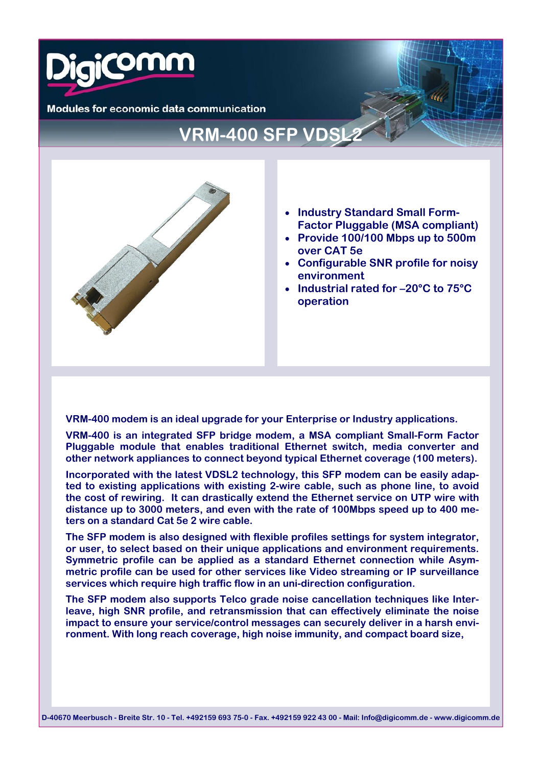

**Modules for economic data communication** 

# **VRM-400 SFP VDSL2**



- **Industry Standard Small Form-Factor Pluggable (MSA compliant)**
- **Provide 100/100 Mbps up to 500m over CAT 5e**
- **Configurable SNR profile for noisy environment**
- **Industrial rated for –20°C to 75°C operation**

**VRM-400 modem is an ideal upgrade for your Enterprise or Industry applications.** 

**VRM-400 is an integrated SFP bridge modem, a MSA compliant Small-Form Factor Pluggable module that enables traditional Ethernet switch, media converter and other network appliances to connect beyond typical Ethernet coverage (100 meters).** 

**Incorporated with the latest VDSL2 technology, this SFP modem can be easily adapted to existing applications with existing 2-wire cable, such as phone line, to avoid the cost of rewiring. It can drastically extend the Ethernet service on UTP wire with distance up to 3000 meters, and even with the rate of 100Mbps speed up to 400 meters on a standard Cat 5e 2 wire cable.** 

**The SFP modem is also designed with flexible profiles settings for system integrator, or user, to select based on their unique applications and environment requirements. Symmetric profile can be applied as a standard Ethernet connection while Asymmetric profile can be used for other services like Video streaming or IP surveillance services which require high traffic flow in an uni-direction configuration.** 

**The SFP modem also supports Telco grade noise cancellation techniques like Interleave, high SNR profile, and retransmission that can effectively eliminate the noise impact to ensure your service/control messages can securely deliver in a harsh environment. With long reach coverage, high noise immunity, and compact board size,**